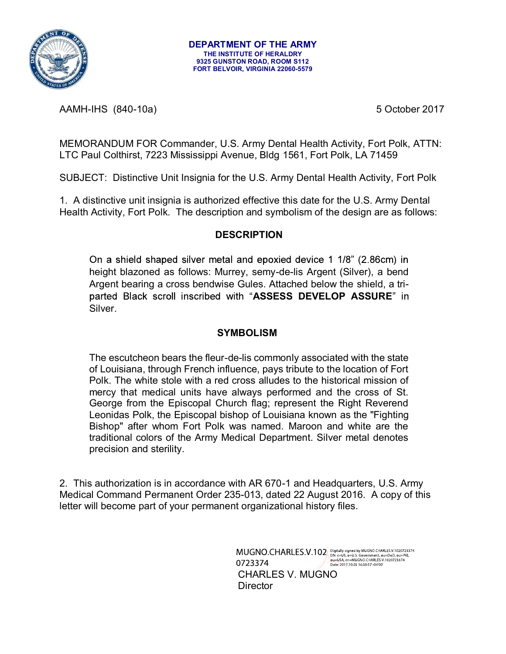

AAMH-IHS (840-10a) 3 October 2017

MEMORANDUM FOR Commander, U.S. Army Dental Health Activity, Fort Polk, ATTN: LTC Paul Colthirst, 7223 Mississippi Avenue, Bldg 1561, Fort Polk, LA 71459

SUBJECT: Distinctive Unit Insignia for the U.S. Army Dental Health Activity, Fort Polk

1. A distinctive unit insignia is authorized effective this date for the U.S. Army Dental Health Activity, Fort Polk. The description and symbolism of the design are as follows:

### DESCRIPTION

On a shield shaped silver metal and epoxied device 1 1/8" (2.86cm) in height blazoned as follows: Murrey, semy-de-lis Argent (Silver), a bend Argent bearing a cross bendwise Gules. Attached below the shield, a triparted Black scroll inscribed with "ASSESS DEVELOP ASSURE" in Silver.

### **SYMBOLISM**

The escutcheon bears the fleur-de-lis commonly associated with the state of Louisiana, through French influence, pays tribute to the location of Fort Polk. The white stole with a red cross alludes to the historical mission of mercy that medical units have always performed and the cross of St. George from the Episcopal Church flag; represent the Right Reverend Leonidas Polk, the Episcopal bishop of Louisiana known as the "Fighting Bishop" after whom Fort Polk was named. Maroon and white are the traditional colors of the Army Medical Department. Silver metal denotes precision and sterility.

2. This authorization is in accordance with AR 670-1 and Headquarters, U.S. Army Medical Command Permanent Order 235-013, dated 22 August 2016. A copy of this letter will become part of your permanent organizational history files.

> $\text{MUGNO.CHARLES.V.102} \tiny \text{Dividily signed by MUGNO.CHARLES.V.1020723374} \\\text{Out-US, o=D.5, o=PRO. Gevenments, ou=DO. ou=RA.} \\\text{Out=USA, cn=MUGNO.CHARIES.V.1020723374} \\\text{Date 2017.10.05 16:50:57 o4'00' } \\\text{Date 2017.10.05 16:50:57 o4'00' } \\\text{Date 2017.10.05 16:50:57 o4'00' } \\\text{Date 2017.05 16$  CHARLES V. MUGNO **Director**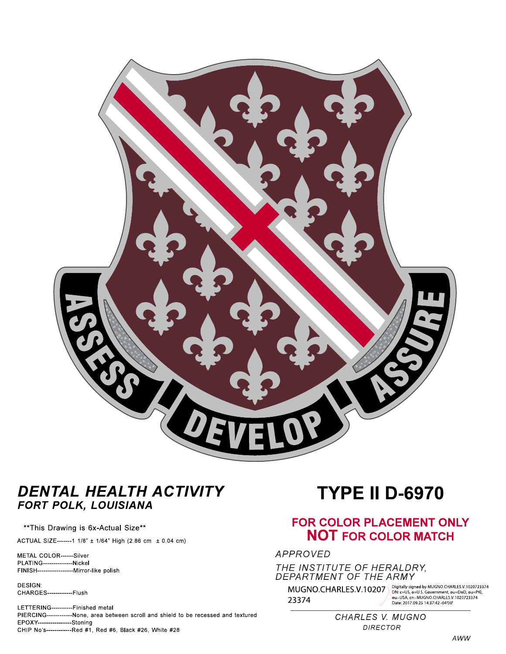

## DENTAL HEALTH ACTIVITY FORT POLK, LOUISIANA

#### \*\* This Drawing is 6x-Actual Size\*\*

ACTUAL SIZE-------1 1/8" ± 1/64" High (2.86 cm ± 0.04 cm)

METAL COLOR------Silver **PLATING--------------Nickel** 

**DESIGN:** CHARGES-------------Flush

LETTERING----------Finished metal PIERCING------------None, area between scroll and shield to be recessed and textured EPOXY----------------Stoning CHIP No's-------------Red #1, Red #6, Black #26, White #28

# **TYPE II D-6970**

### **FOR COLOR PLACEMENT ONLY NOT FOR COLOR MATCH**

**APPROVED** 

THE INSTITUTE OF HERALDRY,<br>DEPARTMENT OF THE ARMY

MUGNO.CHARLES.V.10207 Digitally signed by MUGNO.CHARLES.V.1020723374 23374

DN: c=US, o=U.S. Government, ou=DoD, ou=PKI,<br>DN: c=US, o=U.S. Government, ou=DoD, ou=PKI,<br>ou=USA, cn=MUGNO.CHARLES.V.1020723374<br>Date: 2017.09.25 14:37:42 -04'00'

CHARLES V. MUGNO **DIRECTOR**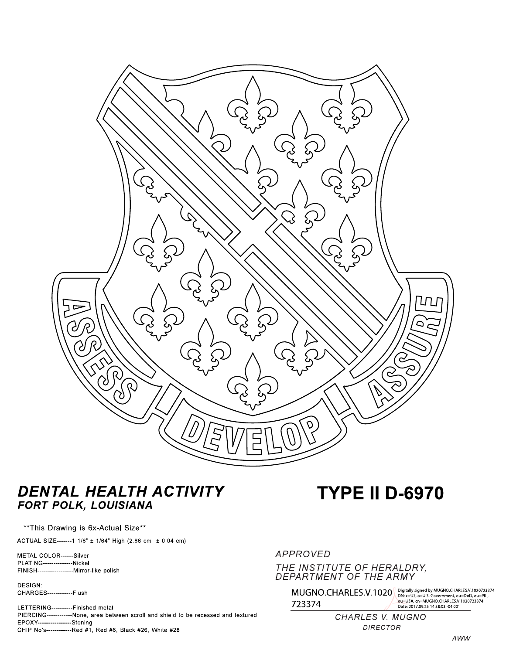

## DENTAL HEALTH ACTIVITY FORT POLK, LOUISIANA

#### \*\* This Drawing is 6x-Actual Size\*\*

ACTUAL SIZE-------1 1/8" ± 1/64" High (2.86 cm ± 0.04 cm)

METAL COLOR------Silver **PLATING--------------Nickel** 

**DESIGN:** CHARGES-------------Flush

LETTERING----------Finished metal PIERCING------------None, area between scroll and shield to be recessed and textured EPOXY----------------Stoning CHIP No's-------------Red #1, Red #6, Black #26, White #28

# **TYPE II D-6970**

APPROVED THE INSTITUTE OF HERALDRY, DEPARTMENT OF THE ARMY

> $\text{MUGNO}. \text{CHARLES.V.1020}^{\text{Digitally signed by MUGNO}. \text{CHAPTER 1.102723374}}_{\text{DN: c=US, o=U.S. Government, ou=DoD, ou=PK}}$ ou=USA, cn=MUGNO.CHARLES.V.1020723374<br>Date: 2017.09.25 14:38:03 -04'00' 723374

> > CHARLES V. MUGNO **DIRECTOR**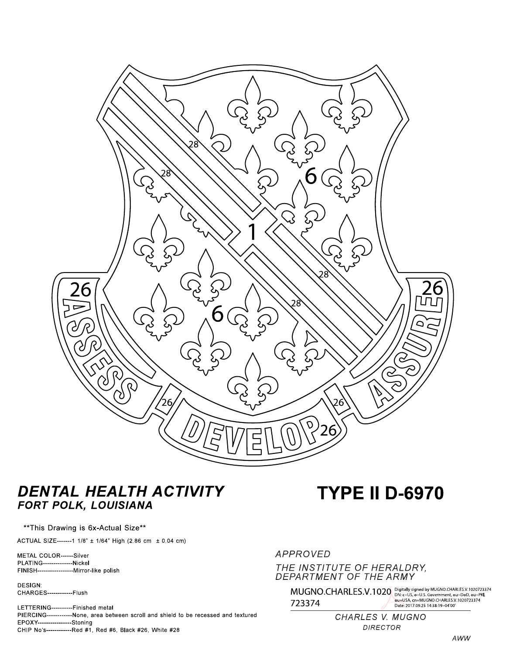

## DENTAL HEALTH ACTIVITY FORT POLK, LOUISIANA

#### \*\* This Drawing is 6x-Actual Size\*\*

ACTUAL SIZE-------1 1/8" ± 1/64" High (2.86 cm ± 0.04 cm)

METAL COLOR------Silver **PLATING--------------Nickel** 

**DESIGN:** CHARGES-------------Flush

LETTERING----------Finished metal PIERCING------------None, area between scroll and shield to be recessed and textured EPOXY----------------Stoning CHIP No's-------------Red #1, Red #6, Black #26, White #28

# **TYPE II D-6970**

### **APPROVED** THE INSTITUTE OF HERALDRY, DEPARTMENT OF THE ARMY

 $\rm \rm \gamma 13374 \rm \gamma 1441 \rm \gamma 1581 \rm \gamma 1491 \rm \gamma 1584 \rm \gamma 1591 \rm \gamma 1591 \rm \gamma 1591 \rm \gamma 1591 \rm \gamma 1591 \rm \gamma 1591 \rm \gamma 1591 \rm \gamma 1591 \rm \gamma 1591 \rm \gamma 1591 \rm \gamma 1591 \rm \gamma 1591 \rm \gamma 1591 \rm \gamma 1591 \rm \gamma 1591 \rm \gamma 1591 \rm \gamma 1591 \rm \gamma 1591 \rm \gamma 1591 \$ 

CHARLES V. MUGNO **DIRECTOR**